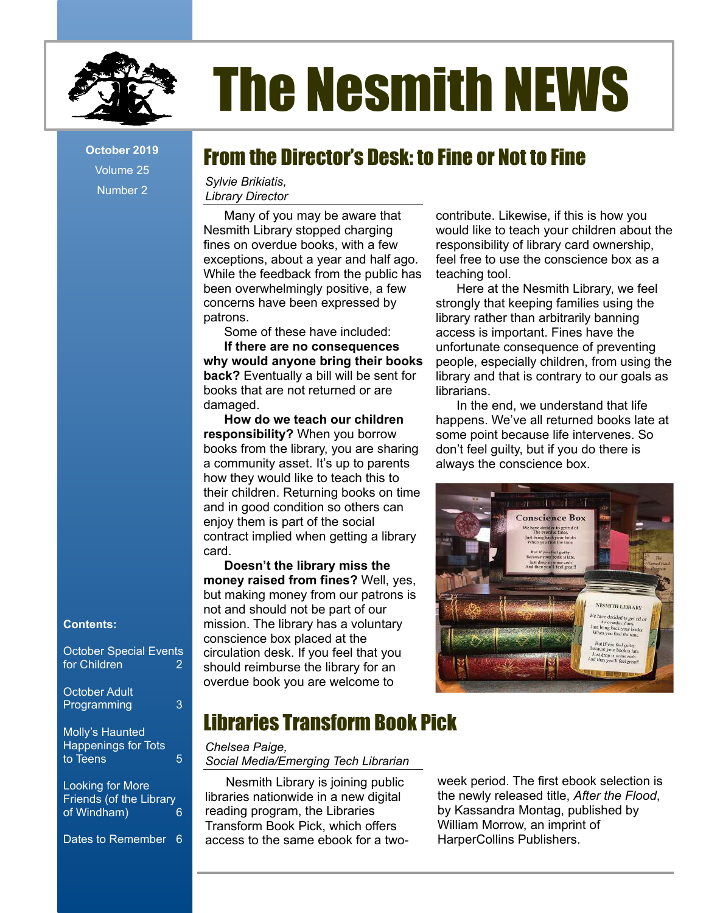

# The Nesmith NEWS

Volume 25 Number 2

# **<u>October 2019 From the Director's Desk: to Fine or Not to Fine</u>**

*Sylvie Brikiatis, Library Director*

Many of you may be aware that Nesmith Library stopped charging fines on overdue books, with a few exceptions, about a year and half ago. While the feedback from the public has been overwhelmingly positive, a few concerns have been expressed by patrons.

Some of these have included:

**If there are no consequences why would anyone bring their books back?** Eventually a bill will be sent for books that are not returned or are damaged.

**How do we teach our children responsibility?** When you borrow books from the library, you are sharing a community asset. It's up to parents how they would like to teach this to their children. Returning books on time and in good condition so others can enjoy them is part of the social contract implied when getting a library card.

**Doesn't the library miss the money raised from fines?** Well, yes, but making money from our patrons is not and should not be part of our mission. The library has a voluntary conscience box placed at the circulation desk. If you feel that you should reimburse the library for an overdue book you are welcome to

Libraries Transform Book Pick

*Chelsea Paige, Social Media/Emerging Tech Librarian*

Nesmith Library is joining public libraries nationwide in a new digital reading program, the Libraries Transform Book Pick, which offers access to the same ebook for a twocontribute. Likewise, if this is how you would like to teach your children about the responsibility of library card ownership, feel free to use the conscience box as a teaching tool.

Here at the Nesmith Library, we feel strongly that keeping families using the library rather than arbitrarily banning access is important. Fines have the unfortunate consequence of preventing people, especially children, from using the library and that is contrary to our goals as librarians.

In the end, we understand that life happens. We've all returned books late at some point because life intervenes. So don't feel guilty, but if you do there is always the conscience box.



## **Contents:**

October Special Events for Children 2

October Adult Programming 3

Molly's Haunted Happenings for Tots to Teens 5

Looking for More Friends (of the Library<br>of Windham) of Windham) 6

Dates to Remember 6

week period. The first ebook selection is the newly released title, *After the Flood*, by Kassandra Montag, published by William Morrow, an imprint of HarperCollins Publishers.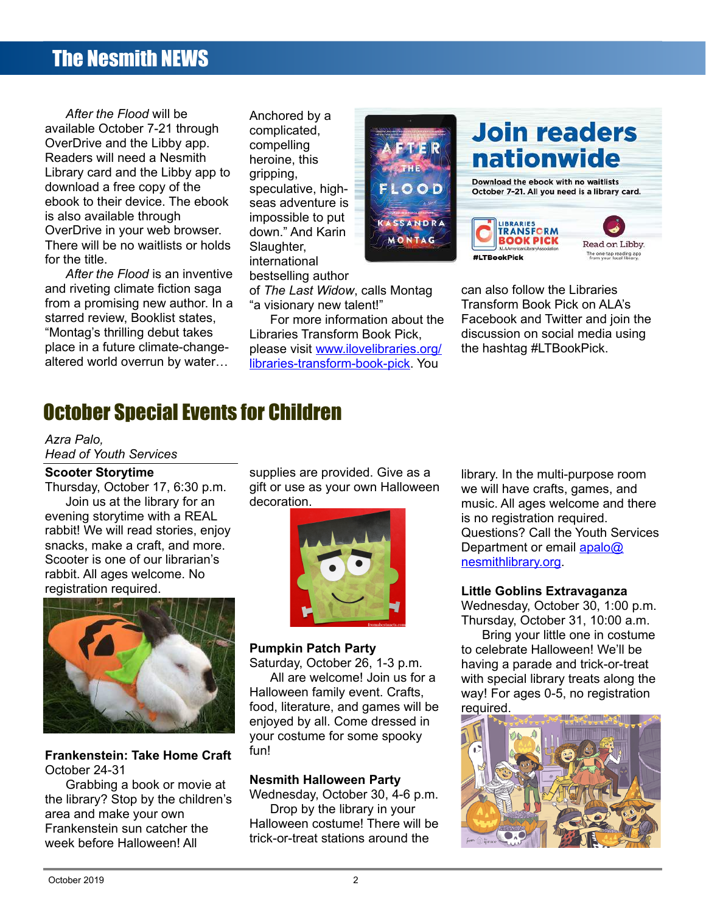# The Nesmith NEWS

*After the Flood* will be available October 7-21 through OverDrive and the Libby app. Readers will need a Nesmith Library card and the Libby app to download a free copy of the ebook to their device. The ebook is also available through OverDrive in your web browser. There will be no waitlists or holds for the title.

*After the Flood* is an inventive and riveting climate fiction saga from a promising new author. In a starred review, Booklist states, "Montag's thrilling debut takes place in a future climate-changealtered world overrun by water…

Anchored by a complicated, compelling heroine, this gripping, speculative, highseas adventure is impossible to put down." And Karin Slaughter, international bestselling author

of *The Last Widow*, calls Montag "a visionary new talent!"

For more information about the Libraries Transform Book Pick, please visit [www.ilovelibraries.org/](http://www.ilovelibraries.org/) [libraries-transform-book-pick.](http://www.ilovelibraries.org/libraries-transform-book-pick) You



can also follow the Libraries Transform Book Pick on ALA's Facebook and Twitter and join the discussion on social media using the hashtag #LTBookPick.

# October Special Events for Children

#### *Azra Palo,*

*Head of Youth Services*

#### **Scooter Storytime**

Thursday, October 17, 6:30 p.m. Join us at the library for an evening storytime with a REAL rabbit! We will read stories, enjoy snacks, make a craft, and more. Scooter is one of our librarian's rabbit. All ages welcome. No registration required.



**Frankenstein: Take Home Craft** October 24-31

Grabbing a book or movie at the library? Stop by the children's area and make your own Frankenstein sun catcher the week before Halloween! All

supplies are provided. Give as a gift or use as your own Halloween decoration.



#### **Pumpkin Patch Party**

Saturday, October 26, 1-3 p.m. All are welcome! Join us for a Halloween family event. Crafts, food, literature, and games will be enjoyed by all. Come dressed in your costume for some spooky fun!

#### **Nesmith Halloween Party**

Wednesday, October 30, 4-6 p.m. Drop by the library in your Halloween costume! There will be trick-or-treat stations around the

library. In the multi-purpose room we will have crafts, games, and music. All ages welcome and there is no registration required. Questions? Call the Youth Services Department or email [apalo@](mailto:apalo@nesmithlibrary.org) [nesmithlibrary.org.](mailto:apalo@nesmithlibrary.org)

#### **Little Goblins Extravaganza**

Wednesday, October 30, 1:00 p.m. Thursday, October 31, 10:00 a.m.

Bring your little one in costume to celebrate Halloween! We'll be having a parade and trick-or-treat with special library treats along the way! For ages 0-5, no registration required.

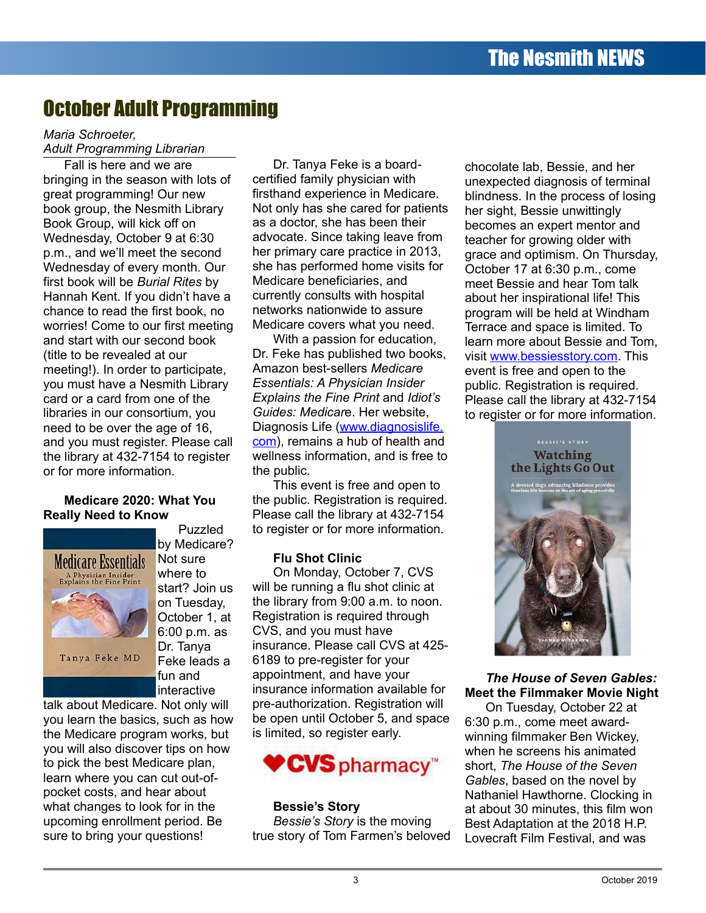# October Adult Programming

#### *Maria Schroeter, Adult Programming Librarian*

Fall is here and we are bringing in the season with lots of great programming! Our new book group, the Nesmith Library Book Group, will kick off on Wednesday, October 9 at 6:30 p.m., and we'll meet the second Wednesday of every month. Our first book will be *Burial Rites* by Hannah Kent. If you didn't have a chance to read the first book, no worries! Come to our first meeting and start with our second book (title to be revealed at our meeting!). In order to participate, you must have a Nesmith Library card or a card from one of the libraries in our consortium, you need to be over the age of 16, and you must register. Please call the library at 432-7154 to register or for more information.

#### **Medicare 2020: What You Really Need to Know**



Puzzled by Medicare? Not sure where to start? Join us on Tuesday, October 1, at 6:00 p.m. as Dr. Tanya Feke leads a fun and interactive

talk about Medicare. Not only will you learn the basics, such as how the Medicare program works, but you will also discover tips on how to pick the best Medicare plan, learn where you can cut out-ofpocket costs, and hear about what changes to look for in the upcoming enrollment period. Be sure to bring your questions!

Dr. Tanya Feke is a boardcertified family physician with firsthand experience in Medicare. Not only has she cared for patients as a doctor, she has been their advocate. Since taking leave from her primary care practice in 2013, she has performed home visits for Medicare beneficiaries, and currently consults with hospital networks nationwide to assure Medicare covers what you need.

With a passion for education, Dr. Feke has published two books, Amazon best-sellers *Medicare Essentials: A Physician Insider Explains the Fine Print* and *Idiot's Guides: Medicar*e. Her website, Diagnosis Life ([www.diagnosislife.](http://www.diagnosislife.com/) [com\)](http://www.diagnosislife.com/), remains a hub of health and wellness information, and is free to the public.

This event is free and open to the public. Registration is required. Please call the library at 432-7154 to register or for more information.

#### **Flu Shot Clinic**

On Monday, October 7, CVS will be running a flu shot clinic at the library from 9:00 a.m. to noon. Registration is required through CVS, and you must have insurance. Please call CVS at 425- 6189 to pre-register for your appointment, and have your insurance information available for pre-authorization. Registration will be open until October 5, and space is limited, so register early.



#### **Bessie's Story**

*Bessie's Story* is the moving true story of Tom Farmen's beloved

chocolate lab, Bessie, and her unexpected diagnosis of terminal blindness. In the process of losing her sight, Bessie unwittingly becomes an expert mentor and teacher for growing older with grace and optimism. On Thursday, October 17 at 6:30 p.m., come meet Bessie and hear Tom talk about her inspirational life! This program will be held at Windham Terrace and space is limited. To learn more about Bessie and Tom, visit [www.bessiesstory.com.](http://www.bessiesstory.com/) This event is free and open to the public. Registration is required. Please call the library at 432-7154 to register or for more information.



### *The House of Seven Gables:* **Meet the Filmmaker Movie Night**

On Tuesday, October 22 at 6:30 p.m., come meet awardwinning filmmaker Ben Wickey, when he screens his animated short, *The House of the Seven Gables*, based on the novel by Nathaniel Hawthorne. Clocking in at about 30 minutes, this film won Best Adaptation at the 2018 H.P. Lovecraft Film Festival, and was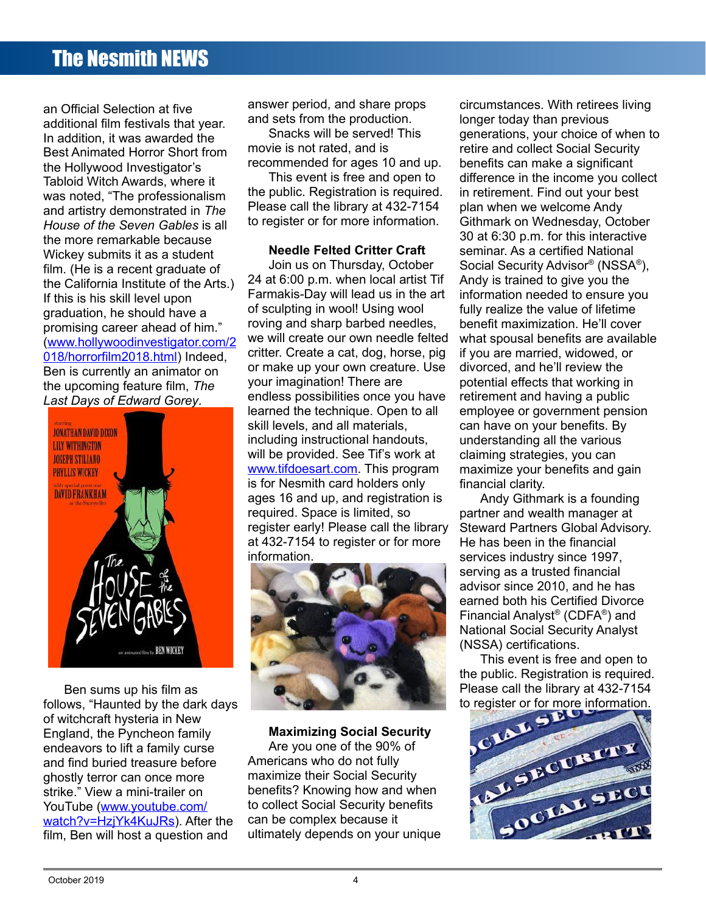# The Nesmith NEWS

an Official Selection at five additional film festivals that year. In addition, it was awarded the Best Animated Horror Short from the Hollywood Investigator's Tabloid Witch Awards, where it was noted, "The professionalism and artistry demonstrated in *The House of the Seven Gables* is all the more remarkable because Wickey submits it as a student film. (He is a recent graduate of the California Institute of the Arts.) If this is his skill level upon graduation, he should have a promising career ahead of him." [\(www.hollywoodinvestigator.com/2](http://www.hollywoodinvestigator.com/2018/horrorfilm2018.html) [018/horrorfilm2018.html\)](http://www.hollywoodinvestigator.com/2018/horrorfilm2018.html) Indeed, Ben is currently an animator on the upcoming feature film, *The Last Days of Edward Gorey*.



Ben sums up his film as follows, "Haunted by the dark days of witchcraft hysteria in New England, the Pyncheon family endeavors to lift a family curse and find buried treasure before ghostly terror can once more strike." View a mini-trailer on YouTube [\(www.youtube.com/](http://www.youtube.com/) [watch?v=HzjYk4KuJRs\)](http://www.youtube.com/watch?v=HzjYk4KuJRs). After the film, Ben will host a question and

answer period, and share props and sets from the production.

Snacks will be served! This movie is not rated, and is recommended for ages 10 and up.

This event is free and open to the public. Registration is required. Please call the library at 432-7154 to register or for more information.

#### **Needle Felted Critter Craft**

Join us on Thursday, October 24 at 6:00 p.m. when local artist Tif Farmakis-Day will lead us in the art of sculpting in wool! Using wool roving and sharp barbed needles, we will create our own needle felted critter. Create a cat, dog, horse, pig or make up your own creature. Use your imagination! There are endless possibilities once you have learned the technique. Open to all skill levels, and all materials, including instructional handouts, will be provided. See Tif's work at [www.tifdoesart.com](http://www.tifdoesart.com/). This program is for Nesmith card holders only ages 16 and up, and registration is required. Space is limited, so register early! Please call the library at 432-7154 to register or for more information.



**Maximizing Social Security** Are you one of the 90% of Americans who do not fully maximize their Social Security benefits? Knowing how and when to collect Social Security benefits can be complex because it ultimately depends on your unique circumstances. With retirees living longer today than previous generations, your choice of when to retire and collect Social Security benefits can make a significant difference in the income you collect in retirement. Find out your best plan when we welcome Andy Githmark on Wednesday, October 30 at 6:30 p.m. for this interactive seminar. As a certified National Social Security Advisor<sup>®</sup> (NSSA<sup>®</sup>), Andy is trained to give you the information needed to ensure you fully realize the value of lifetime benefit maximization. He'll cover what spousal benefits are available if you are married, widowed, or divorced, and he'll review the potential effects that working in retirement and having a public employee or government pension can have on your benefits. By understanding all the various claiming strategies, you can maximize your benefits and gain financial clarity.

Andy Githmark is a founding partner and wealth manager at Steward Partners Global Advisory. He has been in the financial services industry since 1997, serving as a trusted financial advisor since 2010, and he has earned both his Certified Divorce Financial Analyst® (CDFA® ) and National Social Security Analyst (NSSA) certifications.

This event is free and open to the public. Registration is required. Please call the library at 432-7154 to register or for more information.

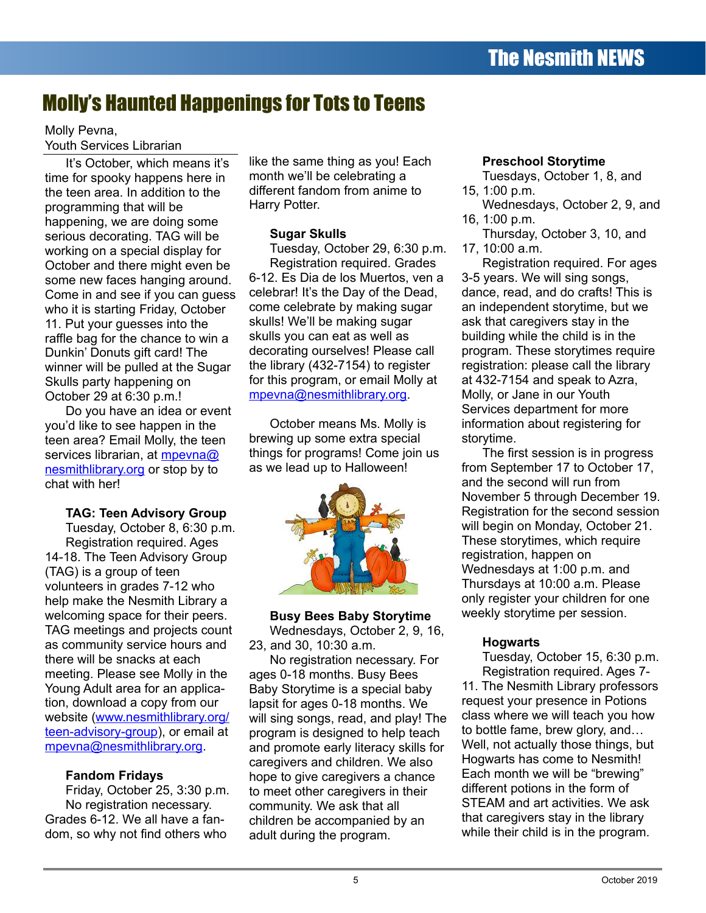# Molly's Haunted Happenings for Tots to Teens

## Molly Pevna, Youth Services Librarian

It's October, which means it's time for spooky happens here in the teen area. In addition to the programming that will be happening, we are doing some serious decorating. TAG will be working on a special display for October and there might even be some new faces hanging around. Come in and see if you can guess who it is starting Friday, October 11. Put your guesses into the raffle bag for the chance to win a Dunkin' Donuts gift card! The winner will be pulled at the Sugar Skulls party happening on October 29 at 6:30 p.m.!

Do you have an idea or event you'd like to see happen in the teen area? Email Molly, the teen services librarian, at mpeyna@ nesmith [library.org](mailto:mpevna@nesmithlibrary.org) or stop by to chat with her!

## **TAG: Teen Advisory Group**

Tuesday, October 8, 6:30 p.m. Registration required. Ages 14-18. The Teen Advisory Group (TAG) is a group of teen volunteers in grades 7-12 who help make the Nesmith Library a welcoming space for their peers. TAG meetings and projects count as community service hours and there will be snacks at each meeting. Please see Molly in the Young Adult area for an application, download a copy from our website [\(www.nesmithlibrary.org/](http://www.nesmithlibrary.org/) [teen-advisory-group\)](http://www.nesmithlibrary.org/teen-advisory-group), or email at mpevna@nesmithlibrary.org.

## **Fandom Fridays**

Friday, October 25, 3:30 p.m. No registration necessary. Grades 6-12. We all have a fandom, so why not find others who

like the same thing as you! Each month we'll be celebrating a different fandom from anime to Harry Potter.

## **Sugar Skulls**

Tuesday, October 29, 6:30 p.m. Registration required. Grades 6-12. Es Dia de los Muertos, ven a celebrar! It's the Day of the Dead, come celebrate by making sugar skulls! We'll be making sugar skulls you can eat as well as decorating ourselves! Please call the library (432-7154) to register for this program, or email Molly at [mpevna@nesmithlibrary.org](mailto:mpevna@nesmithlibrary.org).

October means Ms. Molly is brewing up some extra special things for programs! Come join us as we lead up to Halloween!



## **Busy Bees Baby Storytime**

Wednesdays, October 2, 9, 16, 23, and 30, 10:30 a.m.

No registration necessary. For ages 0-18 months. Busy Bees Baby Storytime is a special baby lapsit for ages 0-18 months. We will sing songs, read, and play! The program is designed to help teach and promote early literacy skills for caregivers and children. We also hope to give caregivers a chance to meet other caregivers in their community. We ask that all children be accompanied by an adult during the program.

## **Preschool Storytime**

Tuesdays, October 1, 8, and 15, 1:00 p.m.

- Wednesdays, October 2, 9, and 16, 1:00 p.m.
- Thursday, October 3, 10, and 17, 10:00 a.m.

Registration required. For ages 3-5 years. We will sing songs, dance, read, and do crafts! This is an independent storytime, but we ask that caregivers stay in the building while the child is in the program. These storytimes require registration: please call the library at 432-7154 and speak to Azra, Molly, or Jane in our Youth Services department for more information about registering for storytime.

The first session is in progress from September 17 to October 17, and the second will run from November 5 through December 19. Registration for the second session will begin on Monday, October 21. These storytimes, which require registration, happen on Wednesdays at 1:00 p.m. and Thursdays at 10:00 a.m. Please only register your children for one weekly storytime per session.

## **Hogwarts**

Tuesday, October 15, 6:30 p.m. Registration required. Ages 7-

11. The Nesmith Library professors request your presence in Potions class where we will teach you how to bottle fame, brew glory, and… Well, not actually those things, but Hogwarts has come to Nesmith! Each month we will be "brewing" different potions in the form of STEAM and art activities. We ask that caregivers stay in the library while their child is in the program.